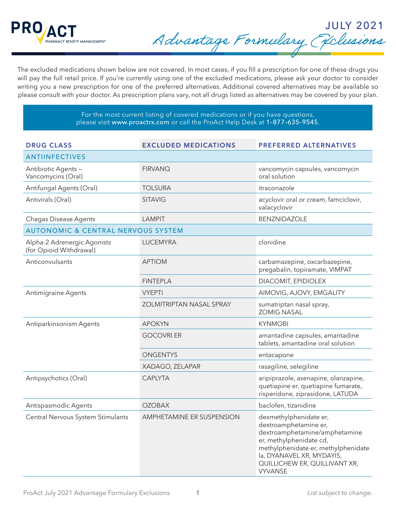

JULY 2021 Advantage Formulary Exclusions

The excluded medications shown below are not covered. In most cases, if you fill a prescription for one of these drugs you will pay the full retail price. If you're currently using one of the excluded medications, please ask your doctor to consider writing you a new prescription for one of the preferred alternatives. Additional covered alternatives may be available so please consult with your doctor. As prescription plans vary, not all drugs listed as alternatives may be covered by your plan.

> For the most current listing of covered medications or if you have questions, please visit www.proactrx.com or call the ProAct Help Desk at 1–877–635–9545.

| <b>DRUG CLASS</b>                                      | <b>EXCLUDED MEDICATIONS</b> | <b>PREFERRED ALTERNATIVES</b>                                                                                                                                                                                                      |
|--------------------------------------------------------|-----------------------------|------------------------------------------------------------------------------------------------------------------------------------------------------------------------------------------------------------------------------------|
| <b>ANTIINFECTIVES</b>                                  |                             |                                                                                                                                                                                                                                    |
| Antibiotic Agents -<br>Vancomycins (Oral)              | <b>FIRVANQ</b>              | vancomycin capsules, vancomycin<br>oral solution                                                                                                                                                                                   |
| Antifungal Agents (Oral)                               | <b>TOLSURA</b>              | itraconazole                                                                                                                                                                                                                       |
| Antivirals (Oral)                                      | <b>SITAVIG</b>              | acyclovir oral or cream, famciclovir,<br>valacyclovir                                                                                                                                                                              |
| <b>Chagas Disease Agents</b>                           | <b>LAMPIT</b>               | <b>BENZNIDAZOLE</b>                                                                                                                                                                                                                |
| <b>AUTONOMIC &amp; CENTRAL NERVOUS SYSTEM</b>          |                             |                                                                                                                                                                                                                                    |
| Alpha-2 Adrenergic Agonists<br>(for Opioid Withdrawal) | <b>LUCEMYRA</b>             | clonidine                                                                                                                                                                                                                          |
| Anticonvulsants                                        | <b>APTIOM</b>               | carbamazepine, oxcarbazepine,<br>pregabalin, topiramate, VIMPAT                                                                                                                                                                    |
|                                                        | <b>FINTEPLA</b>             | DIACOMIT, EPIDIOLEX                                                                                                                                                                                                                |
| <b>Antimigraine Agents</b>                             | <b>VYEPTI</b>               | AIMOVIG, AJOVY, EMGALITY                                                                                                                                                                                                           |
|                                                        | ZOLMITRIPTAN NASAL SPRAY    | sumatriptan nasal spray,<br><b>ZOMIG NASAL</b>                                                                                                                                                                                     |
| Antiparkinsonism Agents                                | <b>APOKYN</b>               | <b>KYNMOBI</b>                                                                                                                                                                                                                     |
|                                                        | <b>GOCOVRI ER</b>           | amantadine capsules, amantadine<br>tablets, amantadine oral solution                                                                                                                                                               |
|                                                        | ONGENTYS                    | entacapone                                                                                                                                                                                                                         |
|                                                        | XADAGO, ZELAPAR             | rasagiline, selegiline                                                                                                                                                                                                             |
| Antipsychotics (Oral)                                  | <b>CAPLYTA</b>              | aripiprazole, asenapine, olanzapine,<br>quetiapine er, quetiapine fumarate,<br>risperidone, ziprasidone, LATUDA                                                                                                                    |
| Antispasmodic Agents                                   | <b>OZOBAX</b>               | baclofen, tizanidine                                                                                                                                                                                                               |
| Central Nervous System Stimulants                      | AMPHETAMINE ER SUSPENSION   | dexmethylphenidate er,<br>dextroamphetamine er,<br>dextroamphetamine/amphetamine<br>er, methylphenidate cd,<br>methylphenidate er, methylphenidate<br>la, DYANAVEL XR, MYDAYIS,<br>QUILLICHEW ER, QUILLIVANT XR,<br><b>VYVANSE</b> |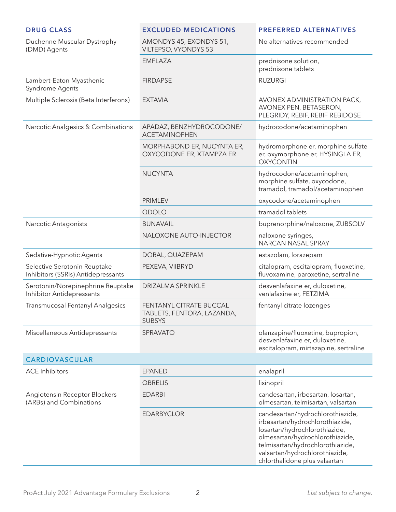| <b>DRUG CLASS</b>                                                     | <b>EXCLUDED MEDICATIONS</b>                                            | <b>PREFERRED ALTERNATIVES</b>                                                                                                                                                                                                                  |
|-----------------------------------------------------------------------|------------------------------------------------------------------------|------------------------------------------------------------------------------------------------------------------------------------------------------------------------------------------------------------------------------------------------|
| Duchenne Muscular Dystrophy<br>(DMD) Agents                           | AMONDYS 45, EXONDYS 51,<br>VILTEPSO, VYONDYS 53                        | No alternatives recommended                                                                                                                                                                                                                    |
|                                                                       | <b>EMFLAZA</b>                                                         | prednisone solution,<br>prednisone tablets                                                                                                                                                                                                     |
| Lambert-Eaton Myasthenic<br>Syndrome Agents                           | <b>FIRDAPSE</b>                                                        | <b>RUZURGI</b>                                                                                                                                                                                                                                 |
| Multiple Sclerosis (Beta Interferons)                                 | <b>EXTAVIA</b>                                                         | AVONEX ADMINISTRATION PACK,<br>AVONEX PEN, BETASERON,<br>PLEGRIDY, REBIF, REBIF REBIDOSE                                                                                                                                                       |
| Narcotic Analgesics & Combinations                                    | APADAZ, BENZHYDROCODONE/<br><b>ACETAMINOPHEN</b>                       | hydrocodone/acetaminophen                                                                                                                                                                                                                      |
|                                                                       | MORPHABOND ER, NUCYNTA ER,<br>OXYCODONE ER, XTAMPZA ER                 | hydromorphone er, morphine sulfate<br>er, oxymorphone er, HYSINGLA ER,<br><b>OXYCONTIN</b>                                                                                                                                                     |
|                                                                       | <b>NUCYNTA</b>                                                         | hydrocodone/acetaminophen,<br>morphine sulfate, oxycodone,<br>tramadol, tramadol/acetaminophen                                                                                                                                                 |
|                                                                       | <b>PRIMLEV</b>                                                         | oxycodone/acetaminophen                                                                                                                                                                                                                        |
|                                                                       | QDOLO                                                                  | tramadol tablets                                                                                                                                                                                                                               |
| Narcotic Antagonists                                                  | <b>BUNAVAIL</b>                                                        | buprenorphine/naloxone, ZUBSOLV                                                                                                                                                                                                                |
|                                                                       | NALOXONE AUTO-INJECTOR                                                 | naloxone syringes,<br>NARCAN NASAL SPRAY                                                                                                                                                                                                       |
| Sedative-Hypnotic Agents                                              | DORAL, QUAZEPAM                                                        | estazolam, lorazepam                                                                                                                                                                                                                           |
| Selective Serotonin Reuptake<br>Inhibitors (SSRIs) Antidepressants    | PEXEVA, VIIBRYD                                                        | citalopram, escitalopram, fluoxetine,<br>fluvoxamine, paroxetine, sertraline                                                                                                                                                                   |
| Serotonin/Norepinephrine Reuptake<br><b>Inhibitor Antidepressants</b> | <b>DRIZALMA SPRINKLE</b>                                               | desvenlafaxine er, duloxetine,<br>venlafaxine er, FETZIMA                                                                                                                                                                                      |
| <b>Transmucosal Fentanyl Analgesics</b>                               | FENTANYL CITRATE BUCCAL<br>TABLETS, FENTORA, LAZANDA,<br><b>SUBSYS</b> | fentanyl citrate lozenges                                                                                                                                                                                                                      |
| Miscellaneous Antidepressants                                         | SPRAVATO                                                               | olanzapine/fluoxetine, bupropion,<br>desvenlafaxine er, duloxetine,<br>escitalopram, mirtazapine, sertraline                                                                                                                                   |
| CARDIOVASCULAR                                                        |                                                                        |                                                                                                                                                                                                                                                |
| <b>ACE Inhibitors</b>                                                 | <b>EPANED</b>                                                          | enalapril                                                                                                                                                                                                                                      |
|                                                                       | <b>QBRELIS</b>                                                         | lisinopril                                                                                                                                                                                                                                     |
| Angiotensin Receptor Blockers<br>(ARBs) and Combinations              | <b>EDARBI</b>                                                          | candesartan, irbesartan, losartan,<br>olmesartan, telmisartan, valsartan                                                                                                                                                                       |
|                                                                       | <b>EDARBYCLOR</b>                                                      | candesartan/hydrochlorothiazide,<br>irbesartan/hydrochlorothiazide,<br>losartan/hydrochlorothiazide,<br>olmesartan/hydrochlorothiazide,<br>telmisartan/hydrochlorothiazide,<br>valsartan/hydrochlorothiazide,<br>chlorthalidone plus valsartan |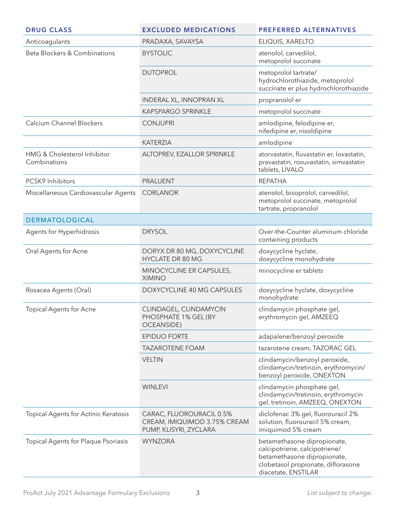| <b>DRUG CLASS</b>                           | <b>EXCLUDED MEDICATIONS</b>                                                        | <b>PREFERRED ALTERNATIVES</b>                                                                                                                            |
|---------------------------------------------|------------------------------------------------------------------------------------|----------------------------------------------------------------------------------------------------------------------------------------------------------|
| Anticoagulants                              | PRADAXA, SAVAYSA                                                                   | ELIQUIS, XARELTO                                                                                                                                         |
| Beta Blockers & Combinations                | <b>BYSTOLIC</b>                                                                    | atenolol, carvedilol,<br>metoprolol succinate                                                                                                            |
|                                             | <b>DUTOPROL</b>                                                                    | metoprolol tartrate/<br>hydrochlorothiazide, metoprolol<br>succinate er plus hydrochlorothiazide                                                         |
|                                             | <b>INDERAL XL, INNOPRAN XL</b>                                                     | propranolol er                                                                                                                                           |
|                                             | <b>KAPSPARGO SPRINKLE</b>                                                          | metoprolol succinate                                                                                                                                     |
| Calcium Channel Blockers                    | <b>CONJUPRI</b>                                                                    | amlodipine, felodipine er,<br>nifedipine er, nisoldipine                                                                                                 |
|                                             | <b>KATERZIA</b>                                                                    | amlodipine                                                                                                                                               |
| HMG & Cholesterol Inhibitor<br>Combinations | ALTOPREV, EZALLOR SPRINKLE                                                         | atorvastatin, fluvastatin er, lovastatin,<br>pravastatin, rosuvastatin, simvastatin<br>tablets, LIVALO                                                   |
| PCSK9 Inhibitors                            | <b>PRALUENT</b>                                                                    | <b>REPATHA</b>                                                                                                                                           |
| Miscellaneous Cardiovascular Agents         | <b>CORLANOR</b>                                                                    | atenolol, bisoprolol, carvedilol,<br>metoprolol succinate, metoprolol<br>tartrate, propranolol                                                           |
| <b>DERMATOLOGICAL</b>                       |                                                                                    |                                                                                                                                                          |
| Agents for Hyperhidrosis                    | <b>DRYSOL</b>                                                                      | Over-the-Counter aluminum chloride<br>containing products                                                                                                |
| Oral Agents for Acne                        | DORYX DR 80 MG, DOXYCYCLINE<br><b>HYCLATE DR 80 MG</b>                             | doxycycline hyclate,<br>doxycycline monohydrate                                                                                                          |
|                                             | MINOCYCLINE ER CAPSULES,<br><b>XIMINO</b>                                          | minocycline er tablets                                                                                                                                   |
| Rosacea Agents (Oral)                       | DOXYCYCLINE 40 MG CAPSULES                                                         | doxycycline hyclate, doxycycline<br>monohydrate                                                                                                          |
| <b>Topical Agents for Acne</b>              | CLINDAGEL, CLINDAMYCIN<br>PHOSPHATE 1% GEL (BY<br><b>OCEANSIDE)</b>                | clindamycin phosphate gel,<br>erythromycin gel, AMZEEQ                                                                                                   |
|                                             | <b>EPIDUO FORTE</b>                                                                | adapalene/benzoyl peroxide                                                                                                                               |
|                                             | <b>TAZAROTENE FOAM</b>                                                             | tazarotene cream, TAZORAC GEL                                                                                                                            |
|                                             | <b>VELTIN</b>                                                                      | clindamycin/benzoyl peroxide,<br>clindamycin/tretinoin, erythromycin/<br>benzoyl peroxide, ONEXTON                                                       |
|                                             | <b>WINLEVI</b>                                                                     | clindamycin phosphate gel,<br>clindamycin/tretinoin, erythromycin<br>gel, tretinoin, AMZEEQ, ONEXTON                                                     |
| Topical Agents for Actinic Keratosis        | CARAC, FLUOROURACIL 0.5%<br>CREAM, IMIQUIMOD 3.75% CREAM<br>PUMP, KLISYRI, ZYCLARA | diclofenac 3% gel, fluorouracil 2%<br>solution, fluorouracil 5% cream,<br>imiquimod 5% cream                                                             |
| Topical Agents for Plaque Psoriasis         | <b>WYNZORA</b>                                                                     | betamethasone dipropionate,<br>calcipotriene, calcipotriene/<br>betamethasone dipropionate,<br>clobetasol propionate, diflorasone<br>diacetate, ENSTILAR |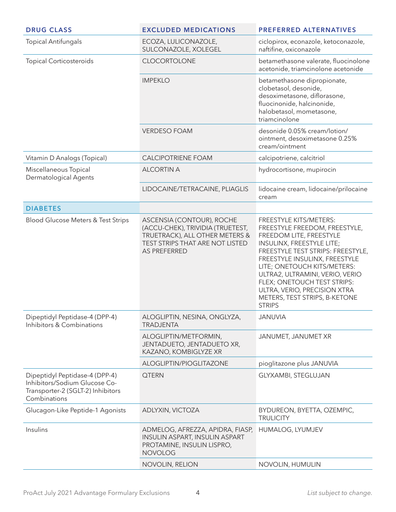| <b>DRUG CLASS</b>                                                                                                    | <b>EXCLUDED MEDICATIONS</b>                                                                                                                               | <b>PREFERRED ALTERNATIVES</b>                                                                                                                                                                                                                                                                                                                                            |
|----------------------------------------------------------------------------------------------------------------------|-----------------------------------------------------------------------------------------------------------------------------------------------------------|--------------------------------------------------------------------------------------------------------------------------------------------------------------------------------------------------------------------------------------------------------------------------------------------------------------------------------------------------------------------------|
| <b>Topical Antifungals</b>                                                                                           | ECOZA, LULICONAZOLE,<br>SULCONAZOLE, XOLEGEL                                                                                                              | ciclopirox, econazole, ketoconazole,<br>naftifine, oxiconazole                                                                                                                                                                                                                                                                                                           |
| <b>Topical Corticosteroids</b>                                                                                       | <b>CLOCORTOLONE</b>                                                                                                                                       | betamethasone valerate, fluocinolone<br>acetonide, triamcinolone acetonide                                                                                                                                                                                                                                                                                               |
|                                                                                                                      | <b>IMPEKLO</b>                                                                                                                                            | betamethasone dipropionate,<br>clobetasol, desonide,<br>desoximetasone, diflorasone,<br>fluocinonide, halcinonide,<br>halobetasol, mometasone,<br>triamcinolone                                                                                                                                                                                                          |
|                                                                                                                      | <b>VERDESO FOAM</b>                                                                                                                                       | desonide 0.05% cream/lotion/<br>ointment, desoximetasone 0.25%<br>cream/ointment                                                                                                                                                                                                                                                                                         |
| Vitamin D Analogs (Topical)                                                                                          | <b>CALCIPOTRIENE FOAM</b>                                                                                                                                 | calcipotriene, calcitriol                                                                                                                                                                                                                                                                                                                                                |
| Miscellaneous Topical<br>Dermatological Agents                                                                       | <b>ALCORTIN A</b>                                                                                                                                         | hydrocortisone, mupirocin                                                                                                                                                                                                                                                                                                                                                |
|                                                                                                                      | LIDOCAINE/TETRACAINE, PLIAGLIS                                                                                                                            | lidocaine cream, lidocaine/prilocaine<br>cream                                                                                                                                                                                                                                                                                                                           |
| <b>DIABETES</b>                                                                                                      |                                                                                                                                                           |                                                                                                                                                                                                                                                                                                                                                                          |
| Blood Glucose Meters & Test Strips                                                                                   | ASCENSIA (CONTOUR), ROCHE<br>(ACCU-CHEK), TRIVIDIA (TRUETEST,<br>TRUETRACK), ALL OTHER METERS &<br>TEST STRIPS THAT ARE NOT LISTED<br><b>AS PREFERRED</b> | FREESTYLE KITS/METERS:<br>FREESTYLE FREEDOM, FREESTYLE,<br>FREEDOM LITE, FREESTYLE<br>INSULINX, FREESTYLE LITE;<br>FREESTYLE TEST STRIPS: FREESTYLE,<br>FREESTYLE INSULINX, FREESTYLE<br>LITE; ONETOUCH KITS/METERS:<br>ULTRA2, ULTRAMINI, VERIO, VERIO<br>FLEX; ONETOUCH TEST STRIPS:<br>ULTRA, VERIO, PRECISION XTRA<br>METERS, TEST STRIPS, B-KETONE<br><b>STRIPS</b> |
| Dipeptidyl Peptidase-4 (DPP-4)<br>Inhibitors & Combinations                                                          | ALOGLIPTIN, NESINA, ONGLYZA,<br><b>TRADJENTA</b>                                                                                                          | JANUVIA                                                                                                                                                                                                                                                                                                                                                                  |
|                                                                                                                      | ALOGLIPTIN/METFORMIN,<br>JENTADUETO, JENTADUETO XR,<br>KAZANO, KOMBIGLYZE XR                                                                              | JANUMET, JANUMET XR                                                                                                                                                                                                                                                                                                                                                      |
|                                                                                                                      | ALOGLIPTIN/PIOGLITAZONE                                                                                                                                   | pioglitazone plus JANUVIA                                                                                                                                                                                                                                                                                                                                                |
| Dipeptidyl Peptidase-4 (DPP-4)<br>Inhibitors/Sodium Glucose Co-<br>Transporter-2 (SGLT-2) Inhibitors<br>Combinations | <b>QTERN</b>                                                                                                                                              | GLYXAMBI, STEGLUJAN                                                                                                                                                                                                                                                                                                                                                      |
| Glucagon-Like Peptide-1 Agonists                                                                                     | ADLYXIN, VICTOZA                                                                                                                                          | BYDUREON, BYETTA, OZEMPIC,<br><b>TRULICITY</b>                                                                                                                                                                                                                                                                                                                           |
| Insulins                                                                                                             | ADMELOG, AFREZZA, APIDRA, FIASP,<br><b>INSULIN ASPART, INSULIN ASPART</b><br>PROTAMINE, INSULIN LISPRO,<br><b>NOVOLOG</b>                                 | HUMALOG, LYUMJEV                                                                                                                                                                                                                                                                                                                                                         |
|                                                                                                                      | NOVOLIN, RELION                                                                                                                                           | NOVOLIN, HUMULIN                                                                                                                                                                                                                                                                                                                                                         |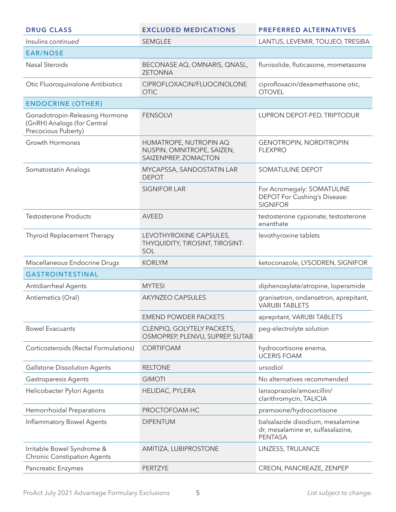| <b>DRUG CLASS</b>                                                                    | <b>EXCLUDED MEDICATIONS</b>                                                  | <b>PREFERRED ALTERNATIVES</b>                                                           |
|--------------------------------------------------------------------------------------|------------------------------------------------------------------------------|-----------------------------------------------------------------------------------------|
| Insulins continued                                                                   | SEMGLEE                                                                      | LANTUS, LEVEMIR, TOUJEO, TRESIBA                                                        |
| <b>EAR/NOSE</b>                                                                      |                                                                              |                                                                                         |
| <b>Nasal Steroids</b>                                                                | BECONASE AQ, OMNARIS, QNASL,<br><b>ZETONNA</b>                               | flunisolide, fluticasone, mometasone                                                    |
| Otic Fluoroquinolone Antibiotics                                                     | CIPROFLOXACIN/FLUOCINOLONE<br><b>OTIC</b>                                    | ciprofloxacin/dexamethasone otic,<br><b>OTOVEL</b>                                      |
| <b>ENDOCRINE (OTHER)</b>                                                             |                                                                              |                                                                                         |
| Gonadotropin-Releasing Hormone<br>(GnRH) Analogs (for Central<br>Precocious Puberty) | <b>FENSOLVI</b>                                                              | LUPRON DEPOT-PED, TRIPTODUR                                                             |
| <b>Growth Hormones</b>                                                               | HUMATROPE, NUTROPIN AQ<br>NUSPIN, OMNITROPE, SAIZEN,<br>SAIZENPREP, ZOMACTON | <b>GENOTROPIN, NORDITROPIN</b><br><b>FLEXPRO</b>                                        |
| Somatostatin Analogs                                                                 | MYCAPSSA, SANDOSTATIN LAR<br><b>DEPOT</b>                                    | SOMATULINE DEPOT                                                                        |
|                                                                                      | <b>SIGNIFOR LAR</b>                                                          | For Acromegaly: SOMATULINE<br>DEPOT For Cushing's Disease:<br><b>SIGNIFOR</b>           |
| <b>Testosterone Products</b>                                                         | <b>AVEED</b>                                                                 | testosterone cypionate, testosterone<br>enanthate                                       |
| Thyroid Replacement Therapy                                                          | LEVOTHYROXINE CAPSULES,<br>THYQUIDITY, TIROSINT, TIROSINT-<br>SOL            | levothyroxine tablets                                                                   |
| Miscellaneous Endocrine Drugs                                                        | <b>KORLYM</b>                                                                | ketoconazole, LYSODREN, SIGNIFOR                                                        |
| <b>GASTROINTESTINAL</b>                                                              |                                                                              |                                                                                         |
| Antidiarrheal Agents                                                                 | <b>MYTESI</b>                                                                | diphenoxylate/atropine, loperamide                                                      |
| Antiemetics (Oral)                                                                   | <b>AKYNZEO CAPSULES</b>                                                      | granisetron, ondansetron, aprepitant,<br><b>VARUBI TABLETS</b>                          |
|                                                                                      | <b>EMEND POWDER PACKETS</b>                                                  | aprepitant, VARUBI TABLETS                                                              |
| <b>Bowel Evacuants</b>                                                               | CLENPIQ, GOLYTELY PACKETS,<br>OSMOPREP, PLENVU, SUPREP, SUTAB                | peg-electrolyte solution                                                                |
| Corticosteroids (Rectal Formulations)                                                | <b>CORTIFOAM</b>                                                             | hydrocortisone enema,<br><b>UCERIS FOAM</b>                                             |
| Gallstone Dissolution Agents                                                         | <b>RELTONE</b>                                                               | ursodiol                                                                                |
| <b>Gastroparesis Agents</b>                                                          | <b>GIMOTI</b>                                                                | No alternatives recommended                                                             |
| Helicobacter Pylori Agents                                                           | HELIDAC, PYLERA                                                              | lansoprazole/amoxicillin/<br>clarithromycin, TALICIA                                    |
| Hemorrhoidal Preparations                                                            | PROCTOFOAM-HC                                                                | pramoxine/hydrocortisone                                                                |
| Inflammatory Bowel Agents                                                            | <b>DIPENTUM</b>                                                              | balsalazide disodium, mesalamine<br>dr, mesalamine er, sulfasalazine,<br><b>PENTASA</b> |
| Irritable Bowel Syndrome &<br><b>Chronic Constipation Agents</b>                     | AMITIZA, LUBIPROSTONE                                                        | LINZESS, TRULANCE                                                                       |
| Pancreatic Enzymes                                                                   | PERTZYE                                                                      | CREON, PANCREAZE, ZENPEP                                                                |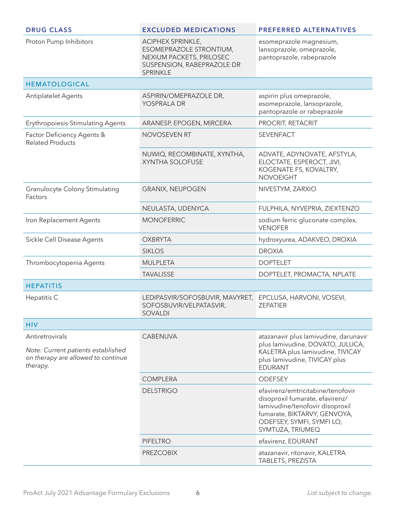| <b>DRUG CLASS</b>                                                                                       | <b>EXCLUDED MEDICATIONS</b>                                                                                               | <b>PREFERRED ALTERNATIVES</b>                                                                                                                                                            |
|---------------------------------------------------------------------------------------------------------|---------------------------------------------------------------------------------------------------------------------------|------------------------------------------------------------------------------------------------------------------------------------------------------------------------------------------|
| Proton Pump Inhibitors                                                                                  | ACIPHEX SPRINKLE,<br>ESOMEPRAZOLE STRONTIUM,<br>NEXIUM PACKETS, PRILOSEC<br>SUSPENSION, RABEPRAZOLE DR<br><b>SPRINKLE</b> | esomeprazole magnesium,<br>lansoprazole, omeprazole,<br>pantoprazole, rabeprazole                                                                                                        |
| <b>HEMATOLOGICAL</b>                                                                                    |                                                                                                                           |                                                                                                                                                                                          |
| Antiplatelet Agents                                                                                     | ASPIRIN/OMEPRAZOLE DR,<br>YOSPRALA DR                                                                                     | aspirin plus omeprazole,<br>esomeprazole, lansoprazole,<br>pantoprazole or rabeprazole                                                                                                   |
| Erythropoiesis-Stimulating Agents                                                                       | ARANESP, EPOGEN, MIRCERA                                                                                                  | PROCRIT, RETACRIT                                                                                                                                                                        |
| Factor Deficiency Agents &<br><b>Related Products</b>                                                   | <b>NOVOSEVEN RT</b>                                                                                                       | <b>SEVENFACT</b>                                                                                                                                                                         |
|                                                                                                         | NUWIQ, RECOMBINATE, XYNTHA,<br><b>XYNTHA SOLOFUSE</b>                                                                     | ADVATE, ADYNOVATE, AFSTYLA,<br>ELOCTATE, ESPEROCT, JIVI,<br>KOGENATE FS, KOVALTRY,<br><b>NOVOEIGHT</b>                                                                                   |
| <b>Granulocyte Colony Stimulating</b><br>Factors                                                        | <b>GRANIX, NEUPOGEN</b>                                                                                                   | NIVESTYM, ZARXIO                                                                                                                                                                         |
|                                                                                                         | NEULASTA, UDENYCA                                                                                                         | FULPHILA, NYVEPRIA, ZIEXTENZO                                                                                                                                                            |
| Iron Replacement Agents                                                                                 | <b>MONOFERRIC</b>                                                                                                         | sodium ferric gluconate complex,<br><b>VENOFER</b>                                                                                                                                       |
| Sickle Cell Disease Agents                                                                              | <b>OXBRYTA</b>                                                                                                            | hydroxyurea, ADAKVEO, DROXIA                                                                                                                                                             |
|                                                                                                         | <b>SIKLOS</b>                                                                                                             | <b>DROXIA</b>                                                                                                                                                                            |
| Thrombocytopenia Agents                                                                                 | <b>MULPLETA</b>                                                                                                           | <b>DOPTELET</b>                                                                                                                                                                          |
|                                                                                                         | <b>TAVALISSE</b>                                                                                                          | DOPTELET, PROMACTA, NPLATE                                                                                                                                                               |
| <b>HEPATITIS</b>                                                                                        |                                                                                                                           |                                                                                                                                                                                          |
| Hepatitis C                                                                                             | LEDIPASVIR/SOFOSBUVIR, MAVYRET,<br>SOFOSBUVIR/VELPATASVIR,<br><b>SOVALDI</b>                                              | EPCLUSA, HARVONI, VOSEVI,<br><b>ZEPATIER</b>                                                                                                                                             |
| <b>HIV</b>                                                                                              |                                                                                                                           |                                                                                                                                                                                          |
| Antiretrovirals<br>Note: Current patients established<br>on therapy are allowed to continue<br>therapy. | <b>CABENUVA</b>                                                                                                           | atazanavir plus lamivudine, darunavir<br>plus lamivudine, DOVATO, JULUCA,<br>KALETRA plus lamivudine, TIVICAY<br>plus lamivudine, TIVICAY plus<br><b>EDURANT</b>                         |
|                                                                                                         | <b>COMPLERA</b>                                                                                                           | <b>ODEFSEY</b>                                                                                                                                                                           |
|                                                                                                         | <b>DELSTRIGO</b>                                                                                                          | efavirenz/emtricitabine/tenofovir<br>disoproxil fumarate, efavirenz/<br>lamivudine/tenofovir disoproxil<br>fumarate, BIKTARVY, GENVOYA,<br>ODEFSEY, SYMFI, SYMFI LO,<br>SYMTUZA, TRIUMEQ |
|                                                                                                         | <b>PIFELTRO</b>                                                                                                           | efavirenz, EDURANT                                                                                                                                                                       |
|                                                                                                         | <b>PREZCOBIX</b>                                                                                                          | atazanavir, ritonavir, KALETRA<br>TABLETS, PREZISTA                                                                                                                                      |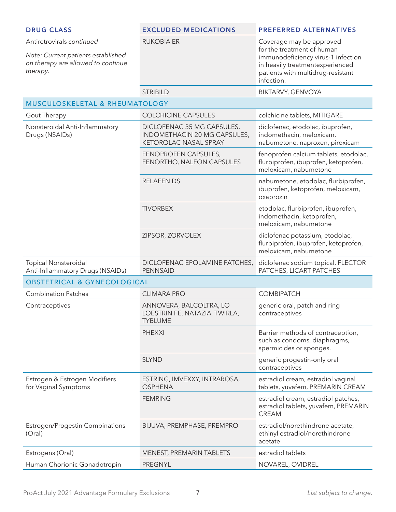| <b>DRUG CLASS</b>                                                                                                 | <b>EXCLUDED MEDICATIONS</b>                                                                | <b>PREFERRED ALTERNATIVES</b>                                                                                                                                                      |
|-------------------------------------------------------------------------------------------------------------------|--------------------------------------------------------------------------------------------|------------------------------------------------------------------------------------------------------------------------------------------------------------------------------------|
| Antiretrovirals continued<br>Note: Current patients established<br>on therapy are allowed to continue<br>therapy. | <b>RUKOBIA ER</b>                                                                          | Coverage may be approved<br>for the treatment of human<br>immunodeficiency virus-1 infection<br>in heavily treatmentexperienced<br>patients with multidrug-resistant<br>infection. |
|                                                                                                                   | <b>STRIBILD</b>                                                                            | <b>BIKTARVY, GENVOYA</b>                                                                                                                                                           |
| MUSCULOSKELETAL & RHEUMATOLOGY                                                                                    |                                                                                            |                                                                                                                                                                                    |
| Gout Therapy                                                                                                      | <b>COLCHICINE CAPSULES</b>                                                                 | colchicine tablets, MITIGARE                                                                                                                                                       |
| Nonsteroidal Anti-Inflammatory<br>Drugs (NSAIDs)                                                                  | DICLOFENAC 35 MG CAPSULES,<br>INDOMETHACIN 20 MG CAPSULES,<br><b>KETOROLAC NASAL SPRAY</b> | diclofenac, etodolac, ibuprofen,<br>indomethacin, meloxicam,<br>nabumetone, naproxen, piroxicam                                                                                    |
|                                                                                                                   | FENOPROFEN CAPSULES,<br>FENORTHO, NALFON CAPSULES                                          | fenoprofen calcium tablets, etodolac,<br>flurbiprofen, ibuprofen, ketoprofen,<br>meloxicam, nabumetone                                                                             |
|                                                                                                                   | <b>RELAFEN DS</b>                                                                          | nabumetone, etodolac, flurbiprofen,<br>ibuprofen, ketoprofen, meloxicam,<br>oxaprozin                                                                                              |
|                                                                                                                   | <b>TIVORBEX</b>                                                                            | etodolac, flurbiprofen, ibuprofen,<br>indomethacin, ketoprofen,<br>meloxicam, nabumetone                                                                                           |
|                                                                                                                   | ZIPSOR, ZORVOLEX                                                                           | diclofenac potassium, etodolac,<br>flurbiprofen, ibuprofen, ketoprofen,<br>meloxicam, nabumetone                                                                                   |
| <b>Topical Nonsteroidal</b><br>Anti-Inflammatory Drugs (NSAIDs)                                                   | DICLOFENAC EPOLAMINE PATCHES,<br><b>PENNSAID</b>                                           | diclofenac sodium topical, FLECTOR<br>PATCHES, LICART PATCHES                                                                                                                      |
| <b>OBSTETRICAL &amp; GYNECOLOGICAL</b>                                                                            |                                                                                            |                                                                                                                                                                                    |
| <b>Combination Patches</b>                                                                                        | <b>CLIMARA PRO</b>                                                                         | <b>COMBIPATCH</b>                                                                                                                                                                  |
| Contraceptives                                                                                                    | ANNOVERA, BALCOLTRA, LO<br>LOESTRIN FE, NATAZIA, TWIRLA,<br><b>TYBLUME</b>                 | generic oral, patch and ring<br>contraceptives                                                                                                                                     |
|                                                                                                                   | <b>PHEXXI</b>                                                                              | Barrier methods of contraception,<br>such as condoms, diaphragms,<br>spermicides or sponges.                                                                                       |
|                                                                                                                   | <b>SLYND</b>                                                                               | generic progestin-only oral<br>contraceptives                                                                                                                                      |
| Estrogen & Estrogen Modifiers<br>for Vaginal Symptoms                                                             | ESTRING, IMVEXXY, INTRAROSA,<br><b>OSPHENA</b>                                             | estradiol cream, estradiol vaginal<br>tablets, yuvafem, PREMARIN CREAM                                                                                                             |
|                                                                                                                   | <b>FEMRING</b>                                                                             | estradiol cream, estradiol patches,<br>estradiol tablets, yuvafem, PREMARIN<br><b>CREAM</b>                                                                                        |
| Estrogen/Progestin Combinations<br>(Oral)                                                                         | BIJUVA, PREMPHASE, PREMPRO                                                                 | estradiol/norethindrone acetate,<br>ethinyl estradiol/norethindrone<br>acetate                                                                                                     |
| Estrogens (Oral)                                                                                                  | MENEST, PREMARIN TABLETS                                                                   | estradiol tablets                                                                                                                                                                  |
| Human Chorionic Gonadotropin                                                                                      | <b>PREGNYL</b>                                                                             | NOVAREL, OVIDREL                                                                                                                                                                   |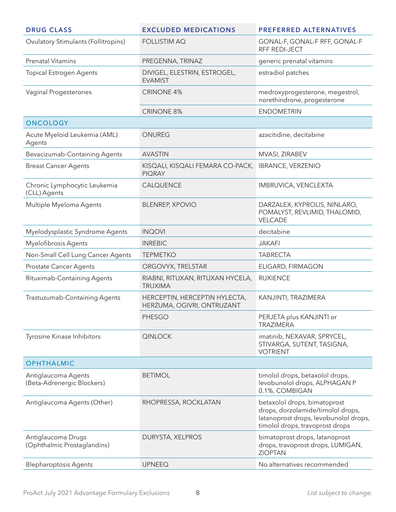| <b>DRUG CLASS</b>                                 | <b>EXCLUDED MEDICATIONS</b>                                 | <b>PREFERRED ALTERNATIVES</b>                                                                                                                 |
|---------------------------------------------------|-------------------------------------------------------------|-----------------------------------------------------------------------------------------------------------------------------------------------|
| <b>Ovulatory Stimulants (Follitropins)</b>        | <b>FOLLISTIM AQ</b>                                         | GONAL-F, GONAL-F RFF, GONAL-F<br>RFF REDI-JECT                                                                                                |
| <b>Prenatal Vitamins</b>                          | PREGENNA, TRINAZ                                            | generic prenatal vitamins                                                                                                                     |
| <b>Topical Estrogen Agents</b>                    | DIVIGEL, ELESTRIN, ESTROGEL,<br><b>EVAMIST</b>              | estradiol patches                                                                                                                             |
| Vaginal Progesterones                             | <b>CRINONE 4%</b>                                           | medroxyprogesterone, megestrol,<br>norethindrone, progesterone                                                                                |
|                                                   | <b>CRINONE 8%</b>                                           | <b>ENDOMETRIN</b>                                                                                                                             |
| <b>ONCOLOGY</b>                                   |                                                             |                                                                                                                                               |
| Acute Myeloid Leukemia (AML)<br>Agents            | ONUREG                                                      | azacitidine, decitabine                                                                                                                       |
| Bevacizumab-Containing Agents                     | <b>AVASTIN</b>                                              | MVASI, ZIRABEV                                                                                                                                |
| <b>Breast Cancer Agents</b>                       | KISQALI, KISQALI FEMARA CO-PACK,<br><b>PIQRAY</b>           | <b>IBRANCE, VERZENIO</b>                                                                                                                      |
| Chronic Lymphocytic Leukemia<br>(CLL) Agents      | CALQUENCE                                                   | IMBRUVICA, VENCLEXTA                                                                                                                          |
| Multiple Myeloma Agents                           | <b>BLENREP, XPOVIO</b>                                      | DARZALEX, KYPROLIS, NINLARO,<br>POMALYST, REVLIMID, THALOMID,<br>VELCADE                                                                      |
| Myelodysplastic Syndrome Agents                   | <b>INQOVI</b>                                               | decitabine                                                                                                                                    |
| Myelofibrosis Agents                              | <b>INREBIC</b>                                              | <b>JAKAFI</b>                                                                                                                                 |
| Non-Small Cell Lung Cancer Agents                 | <b>TEPMETKO</b>                                             | <b>TABRECTA</b>                                                                                                                               |
| <b>Prostate Cancer Agents</b>                     | ORGOVYX, TRELSTAR                                           | ELIGARD, FIRMAGON                                                                                                                             |
| Rituximab-Containing Agents                       | RIABNI, RITUXAN, RITUXAN HYCELA,<br><b>TRUXIMA</b>          | <b>RUXIENCE</b>                                                                                                                               |
| Trastuzumab-Containing Agents                     | HERCEPTIN, HERCEPTIN HYLECTA,<br>HERZUMA, OGIVRI, ONTRUZANT | KANJINTI, TRAZIMERA                                                                                                                           |
|                                                   | <b>PHESGO</b>                                               | PERJETA plus KANJINTI or<br><b>TRAZIMERA</b>                                                                                                  |
| Tyrosine Kinase Inhibitors                        | QINLOCK                                                     | imatinib, NEXAVAR, SPRYCEL,<br>STIVARGA, SUTENT, TASIGNA,<br><b>VOTRIENT</b>                                                                  |
| <b>OPHTHALMIC</b>                                 |                                                             |                                                                                                                                               |
| Antiglaucoma Agents<br>(Beta-Adrenergic Blockers) | <b>BETIMOL</b>                                              | timolol drops, betaxolol drops,<br>levobunolol drops, ALPHAGAN P<br>0.1%, COMBIGAN                                                            |
| Antiglaucoma Agents (Other)                       | RHOPRESSA, ROCKLATAN                                        | betaxolol drops, bimatoprost<br>drops, dorzolamide/timolol drops,<br>latanoprost drops, levobunolol drops,<br>timolol drops, travoprost drops |
| Antiglaucoma Drugs<br>(Ophthalmic Prostaglandins) | DURYSTA, XELPROS                                            | bimatoprost drops, latanoprost<br>drops, travoprost drops, LUMIGAN,<br><b>ZIOPTAN</b>                                                         |
| <b>Blepharoptosis Agents</b>                      | <b>UPNEEQ</b>                                               | No alternatives recommended                                                                                                                   |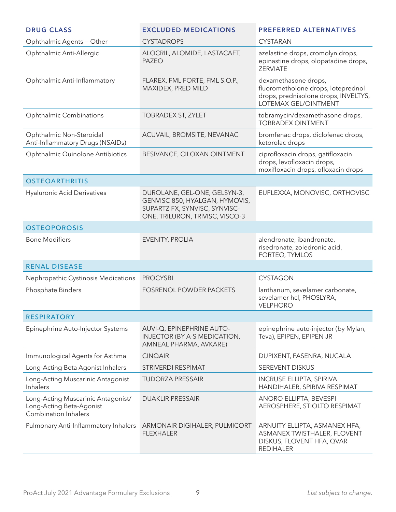| <b>DRUG CLASS</b>                                                                             | <b>EXCLUDED MEDICATIONS</b>                                                                                                        | <b>PREFERRED ALTERNATIVES</b>                                                                                                     |
|-----------------------------------------------------------------------------------------------|------------------------------------------------------------------------------------------------------------------------------------|-----------------------------------------------------------------------------------------------------------------------------------|
| Ophthalmic Agents - Other                                                                     | <b>CYSTADROPS</b>                                                                                                                  | <b>CYSTARAN</b>                                                                                                                   |
| Ophthalmic Anti-Allergic                                                                      | ALOCRIL, ALOMIDE, LASTACAFT,<br><b>PAZEO</b>                                                                                       | azelastine drops, cromolyn drops,<br>epinastine drops, olopatadine drops,<br><b>ZERVIATE</b>                                      |
| Ophthalmic Anti-Inflammatory                                                                  | FLAREX, FML FORTE, FML S.O.P.,<br>MAXIDEX, PRED MILD                                                                               | dexamethasone drops,<br>fluorometholone drops, loteprednol<br>drops, prednisolone drops, INVELTYS,<br><b>LOTEMAX GEL/OINTMENT</b> |
| <b>Ophthalmic Combinations</b>                                                                | TOBRADEX ST, ZYLET                                                                                                                 | tobramycin/dexamethasone drops,<br><b>TOBRADEX OINTMENT</b>                                                                       |
| Ophthalmic Non-Steroidal<br>Anti-Inflammatory Drugs (NSAIDs)                                  | ACUVAIL, BROMSITE, NEVANAC                                                                                                         | bromfenac drops, diclofenac drops,<br>ketorolac drops                                                                             |
| Ophthalmic Quinolone Antibiotics                                                              | BESIVANCE, CILOXAN OINTMENT                                                                                                        | ciprofloxacin drops, gatifloxacin<br>drops, levofloxacin drops,<br>moxifloxacin drops, ofloxacin drops                            |
| <b>OSTEOARTHRITIS</b>                                                                         |                                                                                                                                    |                                                                                                                                   |
| <b>Hyaluronic Acid Derivatives</b>                                                            | DUROLANE, GEL-ONE, GELSYN-3,<br>GENVISC 850, HYALGAN, HYMOVIS,<br>SUPARTZ FX, SYNVISC, SYNVISC-<br>ONE, TRILURON, TRIVISC, VISCO-3 | EUFLEXXA, MONOVISC, ORTHOVISC                                                                                                     |
| <b>OSTEOPOROSIS</b>                                                                           |                                                                                                                                    |                                                                                                                                   |
| <b>Bone Modifiers</b>                                                                         | EVENITY, PROLIA                                                                                                                    | alendronate, ibandronate,<br>risedronate, zoledronic acid,<br>FORTEO, TYMLOS                                                      |
| <b>RENAL DISEASE</b>                                                                          |                                                                                                                                    |                                                                                                                                   |
| Nephropathic Cystinosis Medications                                                           | <b>PROCYSBI</b>                                                                                                                    | <b>CYSTAGON</b>                                                                                                                   |
| Phosphate Binders                                                                             | <b>FOSRENOL POWDER PACKETS</b>                                                                                                     | lanthanum, sevelamer carbonate,<br>sevelamer hcl, PHOSLYRA,<br><b>VELPHORO</b>                                                    |
| <b>RESPIRATORY</b>                                                                            |                                                                                                                                    |                                                                                                                                   |
| Epinephrine Auto-Injector Systems                                                             | AUVI-Q, EPINEPHRINE AUTO-<br>INJECTOR (BY A-S MEDICATION,<br>AMNEAL PHARMA, AVKARE)                                                | epinephrine auto-injector (by Mylan,<br>Teva), EPIPEN, EPIPEN JR                                                                  |
| Immunological Agents for Asthma                                                               | <b>CINQAIR</b>                                                                                                                     | DUPIXENT, FASENRA, NUCALA                                                                                                         |
| Long-Acting Beta Agonist Inhalers                                                             | STRIVERDI RESPIMAT                                                                                                                 | SEREVENT DISKUS                                                                                                                   |
| Long-Acting Muscarinic Antagonist<br><b>Inhalers</b>                                          | <b>TUDORZA PRESSAIR</b>                                                                                                            | <b>INCRUSE ELLIPTA, SPIRIVA</b><br>HANDIHALER, SPIRIVA RESPIMAT                                                                   |
| Long-Acting Muscarinic Antagonist/<br>Long-Acting Beta-Agonist<br><b>Combination Inhalers</b> | <b>DUAKLIR PRESSAIR</b>                                                                                                            | <b>ANORO ELLIPTA, BEVESPI</b><br>AEROSPHERE, STIOLTO RESPIMAT                                                                     |
| Pulmonary Anti-Inflammatory Inhalers                                                          | ARMONAIR DIGIHALER, PULMICORT<br><b>FLEXHALER</b>                                                                                  | ARNUITY ELLIPTA, ASMANEX HFA,<br>ASMANEX TWISTHALER, FLOVENT<br>DISKUS, FLOVENT HFA, QVAR<br><b>REDIHALER</b>                     |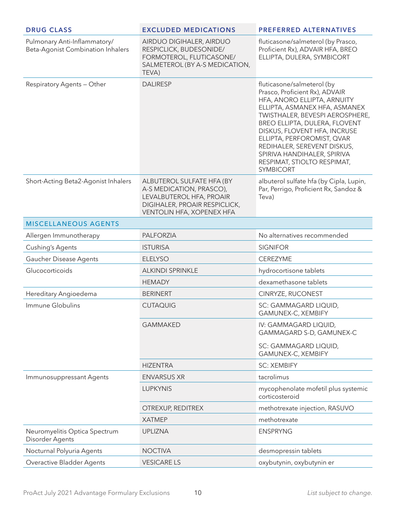| <b>DRUG CLASS</b>                                                 | <b>EXCLUDED MEDICATIONS</b>                                                                                                                     | <b>PREFERRED ALTERNATIVES</b>                                                                                                                                                                                                                                                                                                                                                   |
|-------------------------------------------------------------------|-------------------------------------------------------------------------------------------------------------------------------------------------|---------------------------------------------------------------------------------------------------------------------------------------------------------------------------------------------------------------------------------------------------------------------------------------------------------------------------------------------------------------------------------|
| Pulmonary Anti-Inflammatory/<br>Beta-Agonist Combination Inhalers | AIRDUO DIGIHALER, AIRDUO<br>RESPICLICK, BUDESONIDE/<br>FORMOTEROL, FLUTICASONE/<br>SALMETEROL (BY A-S MEDICATION,<br>TEVA)                      | fluticasone/salmeterol (by Prasco,<br>Proficient Rx), ADVAIR HFA, BREO<br>ELLIPTA, DULERA, SYMBICORT                                                                                                                                                                                                                                                                            |
| Respiratory Agents - Other                                        | <b>DALIRESP</b>                                                                                                                                 | fluticasone/salmeterol (by<br>Prasco, Proficient Rx), ADVAIR<br>HFA, ANORO ELLIPTA, ARNUITY<br>ELLIPTA, ASMANEX HFA, ASMANEX<br>TWISTHALER, BEVESPI AEROSPHERE,<br>BREO ELLIPTA, DULERA, FLOVENT<br>DISKUS, FLOVENT HFA, INCRUSE<br>ELLIPTA, PERFOROMIST, QVAR<br>REDIHALER, SEREVENT DISKUS,<br>SPIRIVA HANDIHALER, SPIRIVA<br>RESPIMAT, STIOLTO RESPIMAT,<br><b>SYMBICORT</b> |
| Short-Acting Beta2-Agonist Inhalers                               | ALBUTEROL SULFATE HFA (BY<br>A-S MEDICATION, PRASCO),<br>LEVALBUTEROL HFA, PROAIR<br>DIGIHALER, PROAIR RESPICLICK,<br>VENTOLIN HFA, XOPENEX HFA | albuterol sulfate hfa (by Cipla, Lupin,<br>Par, Perrigo, Proficient Rx, Sandoz &<br>Teva)                                                                                                                                                                                                                                                                                       |
| <b>MISCELLANEOUS AGENTS</b>                                       |                                                                                                                                                 |                                                                                                                                                                                                                                                                                                                                                                                 |
| Allergen Immunotherapy                                            | <b>PALFORZIA</b>                                                                                                                                | No alternatives recommended                                                                                                                                                                                                                                                                                                                                                     |
| <b>Cushing's Agents</b>                                           | <b>ISTURISA</b>                                                                                                                                 | <b>SIGNIFOR</b>                                                                                                                                                                                                                                                                                                                                                                 |
| Gaucher Disease Agents                                            | <b>ELELYSO</b>                                                                                                                                  | CEREZYME                                                                                                                                                                                                                                                                                                                                                                        |
| Glucocorticoids                                                   | <b>ALKINDI SPRINKLE</b>                                                                                                                         | hydrocortisone tablets                                                                                                                                                                                                                                                                                                                                                          |
|                                                                   | <b>HEMADY</b>                                                                                                                                   | dexamethasone tablets                                                                                                                                                                                                                                                                                                                                                           |
| Hereditary Angioedema                                             | <b>BERINERT</b>                                                                                                                                 | CINRYZE, RUCONEST                                                                                                                                                                                                                                                                                                                                                               |
| Immune Globulins                                                  | <b>CUTAQUIG</b>                                                                                                                                 | SC: GAMMAGARD LIQUID,<br>GAMUNEX-C, XEMBIFY                                                                                                                                                                                                                                                                                                                                     |
|                                                                   | <b>GAMMAKED</b>                                                                                                                                 | IV: GAMMAGARD LIQUID,<br>GAMMAGARD S-D, GAMUNEX-C                                                                                                                                                                                                                                                                                                                               |
|                                                                   |                                                                                                                                                 | SC: GAMMAGARD LIQUID,<br>GAMUNEX-C, XEMBIFY                                                                                                                                                                                                                                                                                                                                     |
|                                                                   | <b>HIZENTRA</b>                                                                                                                                 | <b>SC: XEMBIFY</b>                                                                                                                                                                                                                                                                                                                                                              |
| Immunosuppressant Agents                                          | <b>ENVARSUS XR</b>                                                                                                                              | tacrolimus                                                                                                                                                                                                                                                                                                                                                                      |
|                                                                   | <b>LUPKYNIS</b>                                                                                                                                 | mycophenolate mofetil plus systemic<br>corticosteroid                                                                                                                                                                                                                                                                                                                           |
|                                                                   | OTREXUP, REDITREX                                                                                                                               | methotrexate injection, RASUVO                                                                                                                                                                                                                                                                                                                                                  |
|                                                                   | <b>XATMEP</b>                                                                                                                                   | methotrexate                                                                                                                                                                                                                                                                                                                                                                    |
| Neuromyelitis Optica Spectrum<br>Disorder Agents                  | <b>UPLIZNA</b>                                                                                                                                  | <b>ENSPRYNG</b>                                                                                                                                                                                                                                                                                                                                                                 |
| Nocturnal Polyuria Agents                                         | <b>NOCTIVA</b>                                                                                                                                  | desmopressin tablets                                                                                                                                                                                                                                                                                                                                                            |
| Overactive Bladder Agents                                         | <b>VESICARE LS</b>                                                                                                                              | oxybutynin, oxybutynin er                                                                                                                                                                                                                                                                                                                                                       |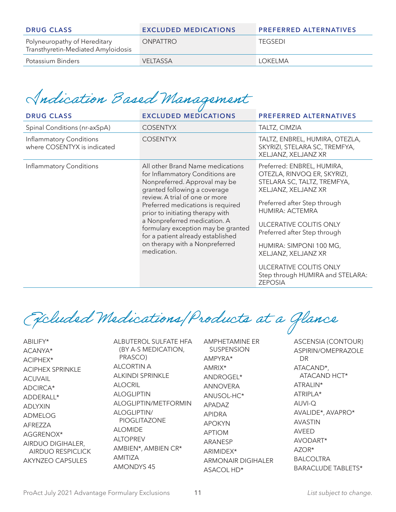| <b>DRUG CLASS</b>                                                  | <b>EXCLUDED MEDICATIONS</b> | <b>PREFERRED ALTERNATIVES</b> |
|--------------------------------------------------------------------|-----------------------------|-------------------------------|
| Polyneuropathy of Hereditary<br>Transthyretin-Mediated Amyloidosis | <b>ONPATTRO</b>             | <b>TEGSEDI</b>                |
| Potassium Binders                                                  | <b>VELTASSA</b>             | I OKFI MA                     |

## Indication Based Management

| <b>DRUG CLASS</b>                                      | <b>EXCLUDED MEDICATIONS</b>                                                                                                                                                                                                                                                                                                                                                                                 | <b>PREFERRED ALTERNATIVES</b>                                                                                                                                                                                                                                                                                                                                    |
|--------------------------------------------------------|-------------------------------------------------------------------------------------------------------------------------------------------------------------------------------------------------------------------------------------------------------------------------------------------------------------------------------------------------------------------------------------------------------------|------------------------------------------------------------------------------------------------------------------------------------------------------------------------------------------------------------------------------------------------------------------------------------------------------------------------------------------------------------------|
| Spinal Conditions (nr-axSpA)                           | <b>COSENTYX</b>                                                                                                                                                                                                                                                                                                                                                                                             | TALTZ, CIMZIA                                                                                                                                                                                                                                                                                                                                                    |
| Inflammatory Conditions<br>where COSENTYX is indicated | <b>COSENTYX</b>                                                                                                                                                                                                                                                                                                                                                                                             | TALTZ, ENBREL, HUMIRA, OTEZLA,<br>SKYRIZI, STELARA SC, TREMFYA,<br>XELJANZ, XELJANZ XR                                                                                                                                                                                                                                                                           |
| Inflammatory Conditions                                | All other Brand Name medications<br>for Inflammatory Conditions are<br>Nonpreferred. Approval may be<br>granted following a coverage<br>review. A trial of one or more<br>Preferred medications is required<br>prior to initiating therapy with<br>a Nonpreferred medication. A<br>formulary exception may be granted<br>for a patient already established<br>on therapy with a Nonpreferred<br>medication. | Preferred: ENBREL, HUMIRA,<br>OTEZLA, RINVOQ ER, SKYRIZI,<br>STELARA SC, TALTZ, TREMFYA,<br>XELJANZ, XELJANZ XR<br>Preferred after Step through<br>HUMIRA: ACTEMRA<br>ULCERATIVE COLITIS ONLY<br>Preferred after Step through<br>HUMIRA: SIMPONI 100 MG,<br>XELJANZ, XELJANZ XR<br>ULCERATIVE COLITIS ONLY<br>Step through HUMIRA and STELARA:<br><b>ZEPOSIA</b> |

Excluded Medications/Products at a Glance

ABILIFY\* ACANYA\* ACIPHEX\* ACIPHEX SPRINKLE ACUVAIL ADCIRCA\* ADDERALL\* ADLYXIN ADMELOG AFREZZA AGGRENOX\* AIRDUO DIGIHALER, AIRDUO RESPICLICK AKYNZEO CAPSULES

ALBUTEROL SULFATE HFA (BY A-S MEDICATION, PRASCO) ALCORTIN A ALKINDI SPRINKLE ALOCRIL ALOGLIPTIN ALOGLIPTIN/METFORMIN ALOGLIPTIN/ PIOGLITAZONE ALOMIDE ALTOPREV AMBIEN\*, AMBIEN CR\* AMITIZA AMONDYS 45

AMPHETAMINE ER SUSPENSION AMPYRA\* AMRIX\* ANDROGEL\* ANNOVERA ANUSOL-HC\* APADAZ APIDRA APOKYN APTIOM ARANESP ARIMIDEX\* ARMONAIR DIGIHALER ASACOL HD\*

ASCENSIA (CONTOUR) ASPIRIN/OMEPRAZOLE DR ATACAND\*, ATACAND HCT\* ATRALIN\* ATRIPLA\* AUVI-Q AVALIDE\*, AVAPRO\* AVASTIN AVEED AVODART\* AZOR\* BALCOLTRA BARACLUDE TABLETS\*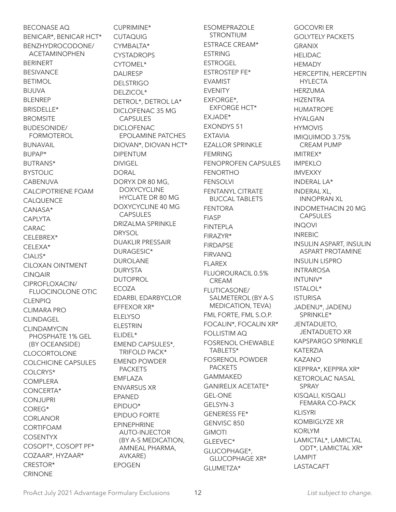BECONASE AQ BENICAR\*, BENICAR HCT\* BENZHYDROCODONE/ ACETAMINOPHEN BERINERT BESIVANCE BETIMOL BIJUVA BLENREP BRISDELLE\* **BROMSITE** BUDESONIDE/ FORMOTEROL BUNAVAIL BUPAP\* BUTRANS\* BYSTOLIC **CABENUVA** CALCIPOTRIENE FOAM CALQUENCE CANASA\* CAPLYTA CARAC CELEBREX\* CELEXA\* CIALIS\* CILOXAN OINTMENT CINQAIR CIPROFLOXACIN/ FLUOCINOLONE OTIC **CLENPIQ** CLIMARA PRO CLINDAGEL **CLINDAMYCIN** PHOSPHATE 1% GEL (BY OCEANSIDE) CLOCORTOLONE COLCHICINE CAPSULES COLCRYS\* COMPLERA CONCERTA\* CONJUPRI COREG\* CORLANOR CORTIFOAM COSENTYX COSOPT\*, COSOPT PF\* COZAAR\*, HYZAAR\* CRESTOR\* CRINONE

CUPRIMINE\* CUTAQUIG CYMBALTA\* CYSTADROPS CYTOMEL\* DAI IRESP DELSTRIGO DELZICOL\* DETROL\*, DETROL LA\* DICLOFENAC 35 MG CAPSULES DICLOFENAC EPOLAMINE PATCHES DIOVAN\*, DIOVAN HCT\* DIPENTUM DIVIGEL **DORAL** DORYX DR 80 MG, DOXYCYCLINE HYCLATE DR 80 MG DOXYCYCLINE 40 MG CAPSULES DRIZALMA SPRINKLE **DRYSOL** DUAKLIR PRESSAIR DURAGESIC\* DUROLANE DURYSTA DUTOPROL ECOZA EDARBI, EDARBYCLOR EFFEXOR XR\* ELELYSO ELESTRIN ELIDEL\* EMEND CAPSULES\*, TRIFOLD PACK\* EMEND POWDER PACKETS EMFLAZA ENVARSUS XR EPANED EPIDUO\* EPIDUO FORTE EPINEPHRINE AUTO-INJECTOR (BY A-S MEDICATION, AMNEAL PHARMA, AVKARE) EPOGEN

ESOMEPRAZOLE STRONTIUM ESTRACE CREAM\* ESTRING ESTROGEL ESTROSTEP FE\* EVAMIST EVENITY EXFORGE\*, EXFORGE HCT\* EXJADE\* EXONDYS 51 EXTAVIA EZALLOR SPRINKLE FEMRING FENOPROFEN CAPSULES FENORTHO FENSOLVI FENTANYL CITRATE BUCCAL TABLETS FENTORA FIASP FINTEPLA FIRAZYR\* FIRDAPSE FIRVANQ FLAREX FLUOROURACIL 0.5% CREAM FLUTICASONE/ SALMETEROL (BY A-S MEDICATION, TEVA) FML FORTE, FML S.O.P. FOCALIN\*, FOCALIN XR\* FOLLISTIM AQ FOSRENOL CHEWABLE TABLETS\* FOSRENOL POWDER PACKETS GAMMAKED GANIRELIX ACETATE\* GEL-ONE GELSYN-3 GENERESS FE\* GENVISC 850 GIMOTI GLEEVEC\* GLUCOPHAGE\*, GLUCOPHAGE XR\* GLUMETZA\*

GOCOVRI ER GOLYTELY PACKETS GRANIX HELIDAC **HEMADY** HERCEPTIN, HERCEPTIN HYLECTA HERZUMA HIZENTRA HUMATROPE HYALGAN HYMOVIS IMIQUIMOD 3.75% CREAM PUMP IMITREX\* IMPEKLO IMVEXXY INDERAL LA\* INDERAL XL, INNOPRAN XL INDOMETHACIN 20 MG CAPSULES INQOVI INREBIC INSULIN ASPART, INSULIN ASPART PROTAMINE INSULIN LISPRO INTRAROSA INTUNIV\* ISTALOL\* ISTURISA JADENU\*, JADENU SPRINKLE\* JENTADUETO, JENTADUETO XR KAPSPARGO SPRINKLE KATERZIA KAZANO KEPPRA\*, KEPPRA XR\* KETOROLAC NASAL SPRAY KISQALI, KISQALI FEMARA CO-PACK KLISYRI KOMBIGLYZE XR KORLYM LAMICTAL\*, LAMICTAL ODT\*, LAMICTAL XR\* LAMPIT LASTACAFT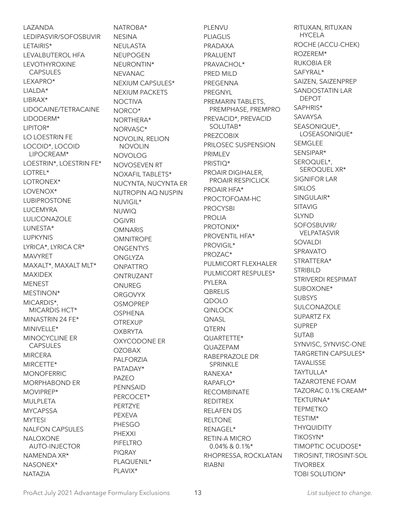LAZANDA LEDIPASVIR/SOFOSBUVIR LETAIRIS\* LEVALBUTEROL HFA LEVOTHYROXINE CAPSULES LEXAPRO\* LIALDA\* LIBRAX\* LIDOCAINE/TETRACAINE LIDODERM\* LIPITOR\* LO LOESTRIN FE LOCOID\*, LOCOID LIPOCREAM\* LOESTRIN\*, LOESTRIN FE\* LOTREL\* LOTRONEX\* LOVENOX\* LUBIPROSTONE LUCEMYRA LULICONAZOLE LUNESTA\* LUPKYNIS LYRICA\*, LYRICA CR\* MAVYRET MAXALT\*, MAXALT MLT\* MAXIDEX MENEST MESTINON\* MICARDIS\*, MICARDIS HCT\* MINASTRIN 24 FE\* MINIVELLE\* MINOCYCLINE ER CAPSULES MIRCERA MIRCETTE\* MONOFERRIC MORPHABOND ER MOVIPREP\* MULPLETA **MYCAPSSA MYTESI** NALFON CAPSULES NALOXONE AUTO-INJECTOR NAMENDA XR\* NASONEX\* NATAZIA

NATROBA\* NESINA NEULASTA NEUPOGEN NEURONTIN\* NEVANAC NEXIUM CAPSULES\* NEXIUM PACKETS **NOCTIVA** NORCO\* NORTHERA\* NORVASC\* NOVOLIN, RELION NOVOLIN NOVOLOG NOVOSEVEN RT NOXAFIL TABLETS\* NUCYNTA, NUCYNTA ER NUTROPIN AQ NUSPIN NUVIGIL\* NUWIQ OGIVRI **OMNARIS OMNITROPE ONGENTYS** ONGLYZA **ONPATTRO** ONTRUZANT ONUREG **ORGOVYX OSMOPREP** OSPHENA **OTREXUP OXBRYTA** OXYCODONE ER OZOBAX PALFORZIA PATADAY\* PAZEO PENNSAID PERCOCET\* PERTZYE PEXEVA PHESGO PHEXXI PIFELTRO PIQRAY PLAQUENIL\* PLAVIX\*

PLENVU PLIAGLIS PRADAXA PRALUENT PRAVACHOL\* PRED MILD PREGENNA PREGNYL PREMARIN TABLETS, PREMPHASE, PREMPRO PREVACID\*, PREVACID SOLUTAB\* PREZCOBIX PRILOSEC SUSPENSION PRIMI FV PRISTIQ\* PROAIR DIGIHALER, PROAIR RESPICLICK PROAIR HFA\* PROCTOFOAM-HC PROCYSBI PROLIA PROTONIX\* PROVENTIL HFA\* PROVIGIL\* PROZAC\* PULMICORT FLEXHALER PULMICORT RESPULES\* PYLERA **QBRELIS** QDOLO QINLOCK **ONASL QTERN** QUARTETTE\* QUAZEPAM RABEPRAZOLE DR SPRINKI F RANEXA\* RAPAFLO\* RECOMBINATE REDITREX RELAFEN DS RELTONE RENAGEL\* RETIN-A MICRO 0.04% & 0.1%\* RHOPRESSA, ROCKLATAN RIABNI

RITUXAN, RITUXAN HYCELA ROCHE (ACCU-CHEK) ROZEREM\* RUKOBIA ER SAFYRAL\* SAIZEN, SAIZENPREP SANDOSTATIN LAR DEPOT SAPHRIS\* SAVAYSA SEASONIQUE\*, LOSEASONIQUE\* SEMGLEE SENSIPAR\* SEROQUEL\*, SEROQUEL XR\* SIGNIFOR LAR SIKLOS SINGULAIR\* SITAVIG **SLYND** SOFOSBUVIR/ VELPATASVIR SOVALDI SPRAVATO STRATTERA\* STRIBILD STRIVERDI RESPIMAT SUBOXONE\* **SUBSYS** SULCONAZOLE SUPARTZ FX SUPREP SUTAB SYNVISC, SYNVISC-ONE TARGRETIN CAPSULES\* **TAVALISSE** TAYTULLA\* TAZAROTENE FOAM TAZORAC 0.1% CREAM\* TEKTURNA\* TEPMETKO TESTIM\* **THYQUIDITY** TIKOSYN\* TIMOPTIC OCUDOSE\* TIROSINT, TIROSINT-SOL **TIVORBEX** TOBI SOLUTION\*